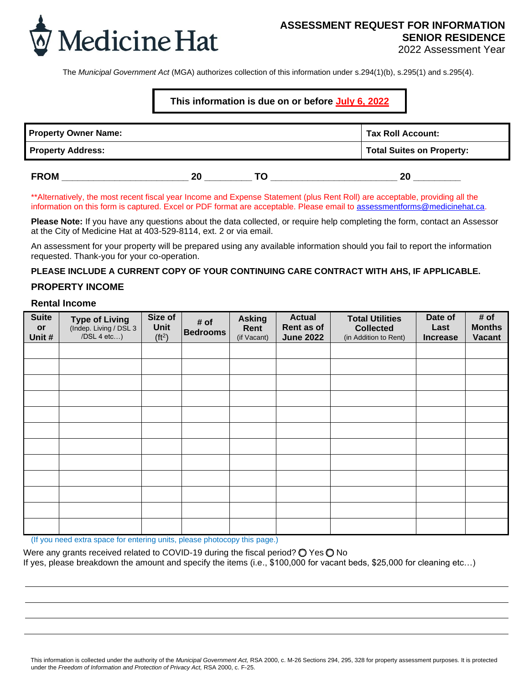

The *Municipal Government Act* (MGA) authorizes collection of this information under s.294(1)(b), s.295(1) and s.295(4).

# **This information is due on or before July 6, 2022**

| <b>Property Owner Name:</b> | Tax Roll Account:                |  |    |
|-----------------------------|----------------------------------|--|----|
| <b>Property Address:</b>    | <b>Total Suites on Property:</b> |  |    |
| <b>FROM</b>                 | 20                               |  | 20 |

\*\*Alternatively, the most recent fiscal year Income and Expense Statement (plus Rent Roll) are acceptable, providing all the information on this form is captured. Excel or PDF format are acceptable. Please email to [assessmentforms@medicinehat.ca.](mailto:assessmentforms@medicinehat.ca)

**Please Note:** If you have any questions about the data collected, or require help completing the form, contact an Assessor at the City of Medicine Hat at 403-529-8114, ext. 2 or via email.

An assessment for your property will be prepared using any available information should you fail to report the information requested. Thank-you for your co-operation.

### **PLEASE INCLUDE A CURRENT COPY OF YOUR CONTINUING CARE CONTRACT WITH AHS, IF APPLICABLE.**

## **PROPERTY INCOME**

### **Rental Income**

| <b>Suite</b><br>or<br>Unit # | <b>Type of Living</b><br>(Indep. Living / DSL 3<br>$/DSL$ 4 etc) | Size of<br>Unit<br>(ft <sup>2</sup> ) | # of<br><b>Bedrooms</b> | <b>Asking</b><br>Rent<br>(if Vacant) | <b>Actual</b><br>Rent as of<br><b>June 2022</b> | <b>Total Utilities</b><br><b>Collected</b><br>(in Addition to Rent) | Date of<br>Last<br><b>Increase</b> | # of<br><b>Months</b><br><b>Vacant</b> |
|------------------------------|------------------------------------------------------------------|---------------------------------------|-------------------------|--------------------------------------|-------------------------------------------------|---------------------------------------------------------------------|------------------------------------|----------------------------------------|
|                              |                                                                  |                                       |                         |                                      |                                                 |                                                                     |                                    |                                        |
|                              |                                                                  |                                       |                         |                                      |                                                 |                                                                     |                                    |                                        |
|                              |                                                                  |                                       |                         |                                      |                                                 |                                                                     |                                    |                                        |
|                              |                                                                  |                                       |                         |                                      |                                                 |                                                                     |                                    |                                        |
|                              |                                                                  |                                       |                         |                                      |                                                 |                                                                     |                                    |                                        |
|                              |                                                                  |                                       |                         |                                      |                                                 |                                                                     |                                    |                                        |
|                              |                                                                  |                                       |                         |                                      |                                                 |                                                                     |                                    |                                        |
|                              |                                                                  |                                       |                         |                                      |                                                 |                                                                     |                                    |                                        |
|                              |                                                                  |                                       |                         |                                      |                                                 |                                                                     |                                    |                                        |
|                              |                                                                  |                                       |                         |                                      |                                                 |                                                                     |                                    |                                        |
|                              |                                                                  |                                       |                         |                                      |                                                 |                                                                     |                                    |                                        |
|                              |                                                                  |                                       |                         |                                      |                                                 |                                                                     |                                    |                                        |

(If you need extra space for entering units, please photocopy this page.)

Were any grants received related to COVID-19 during the fiscal period? ○ Yes ○ No If yes, please breakdown the amount and specify the items (i.e., \$100,000 for vacant beds, \$25,000 for cleaning etc…)